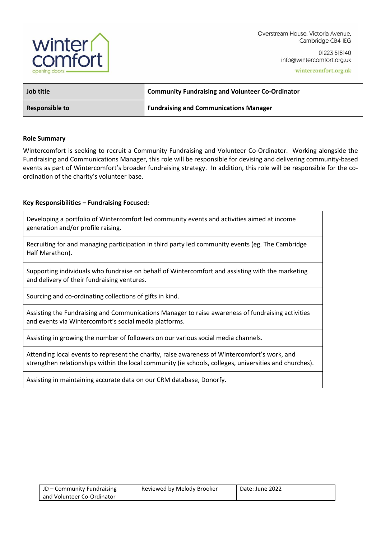

Overstream House, Victoria Avenue, Cambridge CB4 1EG

> 01223 518140 info@wintercomfort.org.uk

> > wintercomfort.org.uk

| Job title      | <b>Community Fundraising and Volunteer Co-Ordinator</b> |  |
|----------------|---------------------------------------------------------|--|
| Responsible to | <b>Fundraising and Communications Manager</b>           |  |

#### **Role Summary**

Wintercomfort is seeking to recruit a Community Fundraising and Volunteer Co-Ordinator. Working alongside the Fundraising and Communications Manager, this role will be responsible for devising and delivering community-based events as part of Wintercomfort's broader fundraising strategy. In addition, this role will be responsible for the coordination of the charity's volunteer base.

#### **Key Responsibilities – Fundraising Focused:**

Developing a portfolio of Wintercomfort led community events and activities aimed at income generation and/or profile raising.

Recruiting for and managing participation in third party led community events (eg. The Cambridge Half Marathon).

Supporting individuals who fundraise on behalf of Wintercomfort and assisting with the marketing and delivery of their fundraising ventures.

Sourcing and co-ordinating collections of gifts in kind.

Assisting the Fundraising and Communications Manager to raise awareness of fundraising activities and events via Wintercomfort's social media platforms.

Assisting in growing the number of followers on our various social media channels.

Attending local events to represent the charity, raise awareness of Wintercomfort's work, and strengthen relationships within the local community (ie schools, colleges, universities and churches).

Assisting in maintaining accurate data on our CRM database, Donorfy.

| JD – Community Fundraising | Reviewed by Melody Brooker | Date: June 2022 |
|----------------------------|----------------------------|-----------------|
| and Volunteer Co-Ordinator |                            |                 |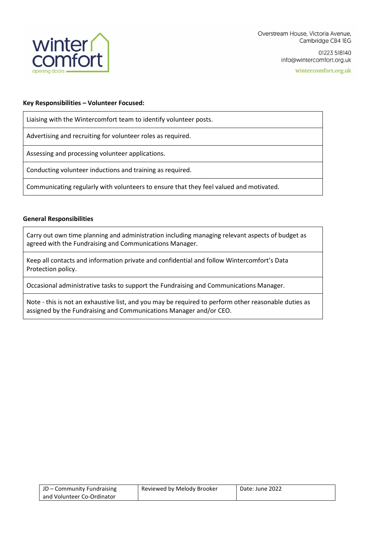

01223 518140 info@wintercomfort.org.uk

wintercomfort.org.uk

### **Key Responsibilities – Volunteer Focused:**

Liaising with the Wintercomfort team to identify volunteer posts.

Advertising and recruiting for volunteer roles as required.

Assessing and processing volunteer applications.

Conducting volunteer inductions and training as required.

Communicating regularly with volunteers to ensure that they feel valued and motivated.

#### **General Responsibilities**

Carry out own time planning and administration including managing relevant aspects of budget as agreed with the Fundraising and Communications Manager.

Keep all contacts and information private and confidential and follow Wintercomfort's Data Protection policy.

Occasional administrative tasks to support the Fundraising and Communications Manager.

Note - this is not an exhaustive list, and you may be required to perform other reasonable duties as assigned by the Fundraising and Communications Manager and/or CEO.

| JD – Community Fundraising | Reviewed by Melody Brooker | Date: June 2022 |
|----------------------------|----------------------------|-----------------|
| and Volunteer Co-Ordinator |                            |                 |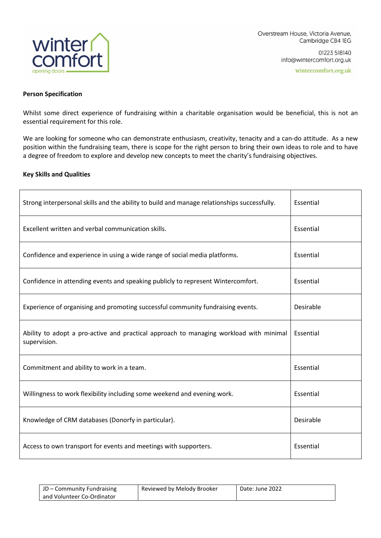

## **Person Specification**

Whilst some direct experience of fundraising within a charitable organisation would be beneficial, this is not an essential requirement for this role.

We are looking for someone who can demonstrate enthusiasm, creativity, tenacity and a can-do attitude. As a new position within the fundraising team, there is scope for the right person to bring their own ideas to role and to have a degree of freedom to explore and develop new concepts to meet the charity's fundraising objectives.

## **Key Skills and Qualities**

| Strong interpersonal skills and the ability to build and manage relationships successfully.            | Essential |
|--------------------------------------------------------------------------------------------------------|-----------|
| Excellent written and verbal communication skills.                                                     | Essential |
| Confidence and experience in using a wide range of social media platforms.                             | Essential |
| Confidence in attending events and speaking publicly to represent Wintercomfort.                       | Essential |
| Experience of organising and promoting successful community fundraising events.                        | Desirable |
| Ability to adopt a pro-active and practical approach to managing workload with minimal<br>supervision. | Essential |
| Commitment and ability to work in a team.                                                              | Essential |
| Willingness to work flexibility including some weekend and evening work.                               | Essential |
| Knowledge of CRM databases (Donorfy in particular).                                                    | Desirable |
| Access to own transport for events and meetings with supporters.                                       | Essential |

| JD – Community Fundraising   | Reviewed by Melody Brooker | Date: June 2022 |
|------------------------------|----------------------------|-----------------|
| l and Volunteer Co-Ordinator |                            |                 |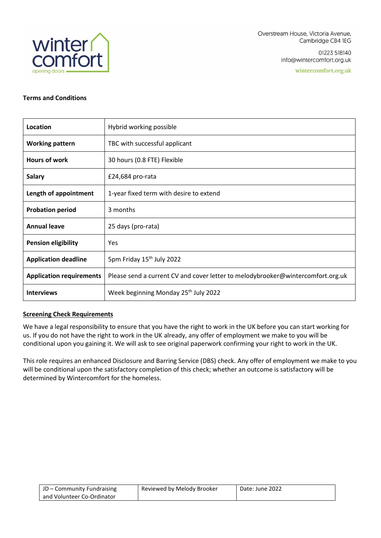

01223 518140 info@wintercomfort.org.uk

wintercomfort.org.uk

# **Terms and Conditions**

| Location                        | Hybrid working possible                                                         |
|---------------------------------|---------------------------------------------------------------------------------|
| <b>Working pattern</b>          | TBC with successful applicant                                                   |
| <b>Hours of work</b>            | 30 hours (0.8 FTE) Flexible                                                     |
| <b>Salary</b>                   | £24,684 pro-rata                                                                |
| Length of appointment           | 1-year fixed term with desire to extend                                         |
| <b>Probation period</b>         | 3 months                                                                        |
| <b>Annual leave</b>             | 25 days (pro-rata)                                                              |
| <b>Pension eligibility</b>      | Yes                                                                             |
| <b>Application deadline</b>     | 5pm Friday 15 <sup>th</sup> July 2022                                           |
| <b>Application requirements</b> | Please send a current CV and cover letter to melodybrooker@wintercomfort.org.uk |
| <b>Interviews</b>               | Week beginning Monday 25th July 2022                                            |

# **Screening Check Requirements**

We have a legal responsibility to ensure that you have the right to work in the UK before you can start working for us. If you do not have the right to work in the UK already, any offer of employment we make to you will be conditional upon you gaining it. We will ask to see original paperwork confirming your right to work in the UK.

This role requires an enhanced Disclosure and Barring Service (DBS) check. Any offer of employment we make to you will be conditional upon the satisfactory completion of this check; whether an outcome is satisfactory will be determined by Wintercomfort for the homeless.

| JD – Community Fundraising | Reviewed by Melody Brooker | Date: June 2022 |
|----------------------------|----------------------------|-----------------|
| and Volunteer Co-Ordinator |                            |                 |